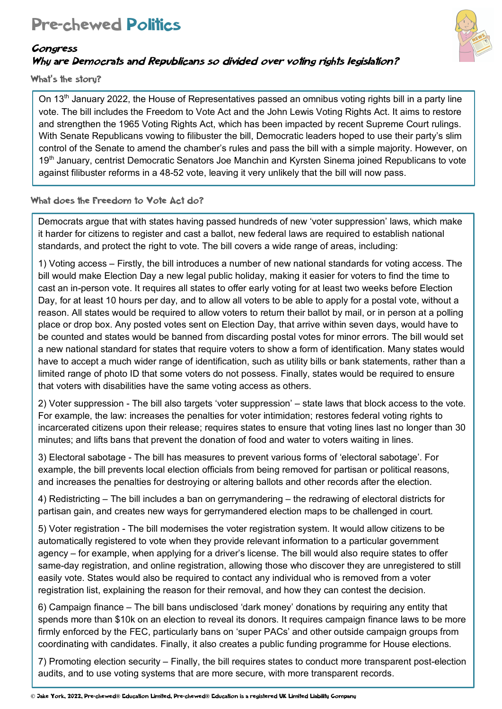# Pre-chewed Politics



#### Congress

### Why are Democrats and Republicans so divided over voting rights legislation?

What's the storu?

On 13<sup>th</sup> January 2022, the House of Representatives passed an omnibus voting rights bill in a party line vote. The bill includes the Freedom to Vote Act and the John Lewis Voting Rights Act. It aims to restore and strengthen the 1965 Voting Rights Act, which has been impacted by recent Supreme Court rulings. With Senate Republicans vowing to filibuster the bill, Democratic leaders hoped to use their party's slim control of the Senate to amend the chamber's rules and pass the bill with a simple majority. However, on 19<sup>th</sup> January, centrist Democratic Senators Joe Manchin and Kyrsten Sinema joined Republicans to vote against filibuster reforms in a 48-52 vote, leaving it very unlikely that the bill will now pass.

#### What does the Freedom to Vote Act do?

Democrats argue that with states having passed hundreds of new 'voter suppression' laws, which make it harder for citizens to register and cast a ballot, new federal laws are required to establish national standards, and protect the right to vote. The bill covers a wide range of areas, including:

1) Voting access – Firstly, the bill introduces a number of new national standards for voting access. The bill would make Election Day a new legal public holiday, making it easier for voters to find the time to cast an in-person vote. It requires all states to offer early voting for at least two weeks before Election Day, for at least 10 hours per day, and to allow all voters to be able to apply for a postal vote, without a reason. All states would be required to allow voters to return their ballot by mail, or in person at a polling place or drop box. Any posted votes sent on Election Day, that arrive within seven days, would have to be counted and states would be banned from discarding postal votes for minor errors. The bill would set a new national standard for states that require voters to show a form of identification. Many states would have to accept a much wider range of identification, such as utility bills or bank statements, rather than a limited range of photo ID that some voters do not possess. Finally, states would be required to ensure that voters with disabilities have the same voting access as others.

2) Voter suppression - The bill also targets 'voter suppression' – state laws that block access to the vote. For example, the law: increases the penalties for voter intimidation; restores federal voting rights to incarcerated citizens upon their release; requires states to ensure that voting lines last no longer than 30 minutes; and lifts bans that prevent the donation of food and water to voters waiting in lines.

3) Electoral sabotage - The bill has measures to prevent various forms of 'electoral sabotage'. For example, the bill prevents local election officials from being removed for partisan or political reasons, and increases the penalties for destroying or altering ballots and other records after the election.

4) Redistricting – The bill includes a ban on gerrymandering – the redrawing of electoral districts for partisan gain, and creates new ways for gerrymandered election maps to be challenged in court.

5) Voter registration - The bill modernises the voter registration system. It would allow citizens to be automatically registered to vote when they provide relevant information to a particular government agency – for example, when applying for a driver's license. The bill would also require states to offer same-day registration, and online registration, allowing those who discover they are unregistered to still easily vote. States would also be required to contact any individual who is removed from a voter registration list, explaining the reason for their removal, and how they can contest the decision.

6) Campaign finance – The bill bans undisclosed 'dark money' donations by requiring any entity that spends more than \$10k on an election to reveal its donors. It requires campaign finance laws to be more firmly enforced by the FEC, particularly bans on 'super PACs' and other outside campaign groups from coordinating with candidates. Finally, it also creates a public funding programme for House elections.

7) Promoting election security – Finally, the bill requires states to conduct more transparent post-election audits, and to use voting systems that are more secure, with more transparent records.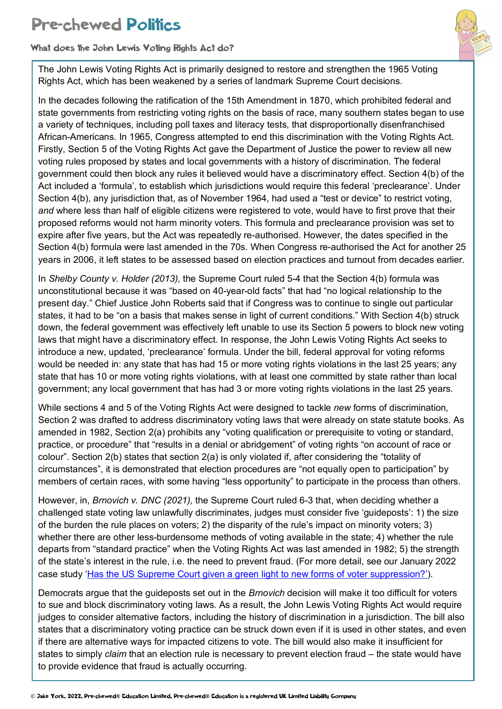# Pre-chewed Politics

What does the John Lewis Voting Rights Act do?

The John Lewis Voting Rights Act is primarily designed to restore and strengthen the 1965 Voting Rights Act, which has been weakened by a series of landmark Supreme Court decisions.

In the decades following the ratification of the 15th Amendment in 1870, which prohibited federal and state governments from restricting voting rights on the basis of race, many southern states began to use a variety of techniques, including poll taxes and literacy tests, that disproportionally disenfranchised African-Americans. In 1965, Congress attempted to end this discrimination with the Voting Rights Act. Firstly, Section 5 of the Voting Rights Act gave the Department of Justice the power to review all new voting rules proposed by states and local governments with a history of discrimination. The federal government could then block any rules it believed would have a discriminatory effect. Section 4(b) of the Act included a 'formula', to establish which jurisdictions would require this federal 'preclearance'. Under Section 4(b), any jurisdiction that, as of November 1964, had used a "test or device" to restrict voting, *and* where less than half of eligible citizens were registered to vote, would have to first prove that their proposed reforms would not harm minority voters. This formula and preclearance provision was set to expire after five years, but the Act was repeatedly re-authorised. However, the dates specified in the Section 4(b) formula were last amended in the 70s. When Congress re-authorised the Act for another 25 years in 2006, it left states to be assessed based on election practices and turnout from decades earlier.

In *Shelby County v. Holder (2013),* the Supreme Court ruled 5-4 that the Section 4(b) formula was unconstitutional because it was "based on 40-year-old facts" that had "no logical relationship to the present day." Chief Justice John Roberts said that if Congress was to continue to single out particular states, it had to be "on a basis that makes sense in light of current conditions." With Section 4(b) struck down, the federal government was effectively left unable to use its Section 5 powers to block new voting laws that might have a discriminatory effect. In response, the John Lewis Voting Rights Act seeks to introduce a new, updated, 'preclearance' formula. Under the bill, federal approval for voting reforms would be needed in: any state that has had 15 or more voting rights violations in the last 25 years; any state that has 10 or more voting rights violations, with at least one committed by state rather than local government; any local government that has had 3 or more voting rights violations in the last 25 years.

While sections 4 and 5 of the Voting Rights Act were designed to tackle *new* forms of discrimination, Section 2 was drafted to address discriminatory voting laws that were already on state statute books. As amended in 1982, Section 2(a) prohibits any "voting qualification or prerequisite to voting or standard, practice, or procedure" that "results in a denial or abridgement" of voting rights "on account of race or colour". Section 2(b) states that section 2(a) is only violated if, after considering the "totality of circumstances", it is demonstrated that election procedures are "not equally open to participation" by members of certain races, with some having "less opportunity" to participate in the process than others.

However, in, *Brnovich v. DNC (2021),* the Supreme Court ruled 6-3 that, when deciding whether a challenged state voting law unlawfully discriminates, judges must consider five 'guideposts': 1) the size of the burden the rule places on voters; 2) the disparity of the rule's impact on minority voters; 3) whether there are other less-burdensome methods of voting available in the state; 4) whether the rule departs from "standard practice" when the Voting Rights Act was last amended in 1982; 5) the strength of the state's interest in the rule, i.e. the need to prevent fraud. (For more detail, see our January 2022 case study 'Has the US Supreme Court given a green light to new forms of voter suppression?').

Democrats argue that the guideposts set out in the *Brnovich* decision will make it too difficult for voters to sue and block discriminatory voting laws. As a result, the John Lewis Voting Rights Act would require judges to consider alternative factors, including the history of discrimination in a jurisdiction. The bill also states that a discriminatory voting practice can be struck down even if it is used in other states, and even if there are alternative ways for impacted citizens to vote. The bill would also make it insufficient for states to simply *claim* that an election rule is necessary to prevent election fraud – the state would have to provide evidence that fraud is actually occurring.